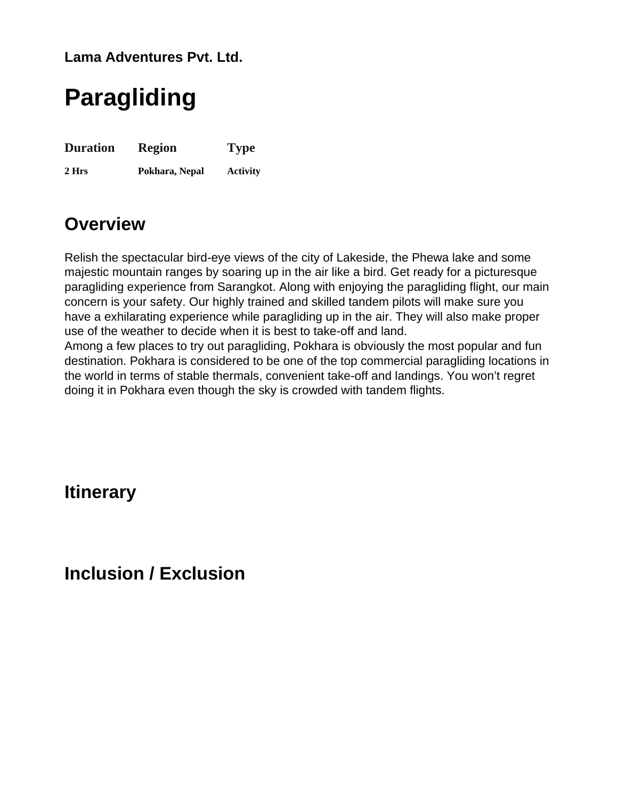**Lama Adventures Pvt. Ltd.**

# **Paragliding**

**Duration 2 Hrs Region Pokhara, Nepal Type Activity**

## **Overview**

Relish the spectacular bird-eye views of the city of Lakeside, the Phewa lake and some majestic mountain ranges by soaring up in the air like a bird. Get ready for a picturesque paragliding experience from Sarangkot. Along with enjoying the paragliding flight, our main concern is your safety. Our highly trained and skilled tandem pilots will make sure you have a exhilarating experience while paragliding up in the air. They will also make proper use of the weather to decide when it is best to take-off and land.

Among a few places to try out paragliding, Pokhara is obviously the most popular and fun destination. Pokhara is considered to be one of the top commercial paragliding locations in the world in terms of stable thermals, convenient take-off and landings. You won't regret doing it in Pokhara even though the sky is crowded with tandem flights.

## **Itinerary**

## **Inclusion / Exclusion**